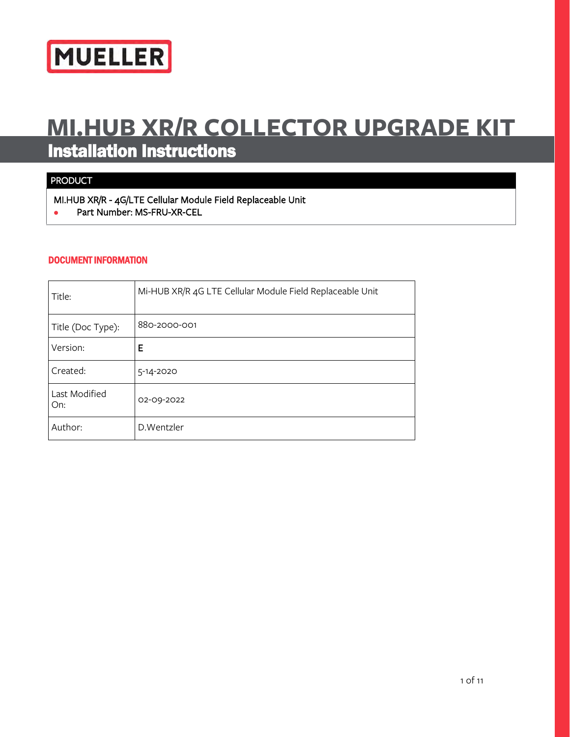

# **MI.HUB XR/R COLLECTOR UPGRADE KIT** Installation Instructions

## PRODUCT

MI.HUB XR/R - 4G/LTE Cellular Module Field Replaceable Unit **•** Part Number: MS-FRU-XR-CEL

#### DOCUMENT INFORMATION

| Title:               | Mi-HUB XR/R 4G LTE Cellular Module Field Replaceable Unit |
|----------------------|-----------------------------------------------------------|
| Title (Doc Type):    | 880-2000-001                                              |
| Version:             | Е                                                         |
| Created:             | 5-14-2020                                                 |
| Last Modified<br>On: | 02-09-2022                                                |
| Author:              | D.Wentzler                                                |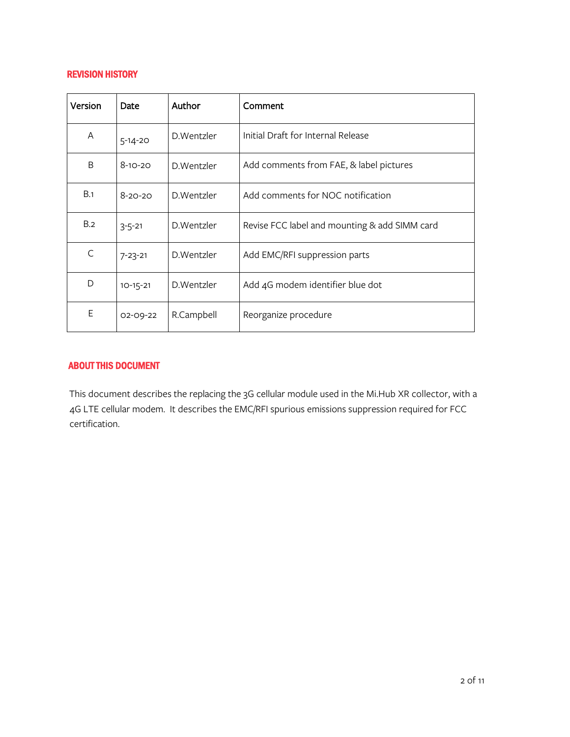#### REVISION HISTORY

| Version | Date          | Author     | Comment                                       |  |
|---------|---------------|------------|-----------------------------------------------|--|
| A       | $5 - 14 - 20$ | D.Wentzler | Initial Draft for Internal Release            |  |
| B       | $8 - 10 - 20$ | D.Wentzler | Add comments from FAE, & label pictures       |  |
| B.1     | $8 - 20 - 20$ | D.Wentzler | Add comments for NOC notification             |  |
| B.2     | $3 - 5 - 21$  | D.Wentzler | Revise FCC label and mounting & add SIMM card |  |
| C       | $7 - 23 - 21$ | D.Wentzler | Add EMC/RFI suppression parts                 |  |
| D       | $10-15-21$    | D.Wentzler | Add 4G modem identifier blue dot              |  |
| Е       | 02-09-22      | R.Campbell | Reorganize procedure                          |  |

#### ABOUT THIS DOCUMENT

This document describes the replacing the 3G cellular module used in the Mi.Hub XR collector, with a 4G LTE cellular modem. It describes the EMC/RFI spurious emissions suppression required for FCC certification.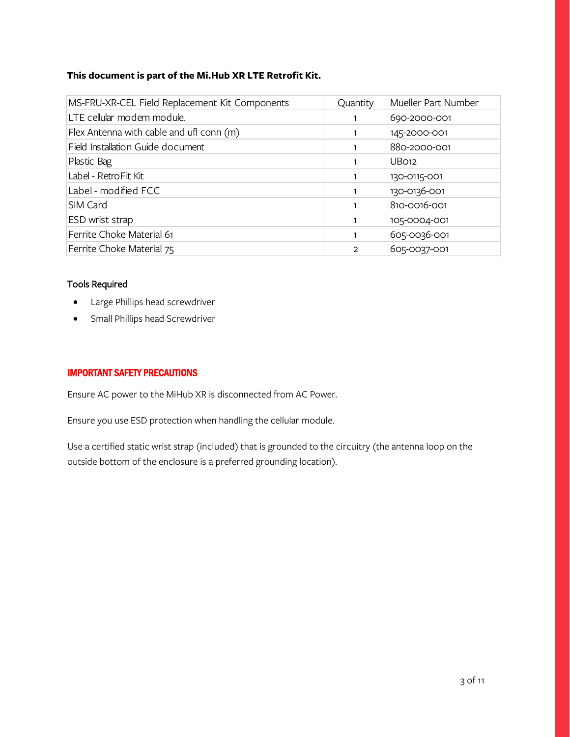#### **This document is part of the Mi.Hub XR LTE Retrofit Kit.**

| MS-FRU-XR-CEL Field Replacement Kit Components | Quantity | Mueller Part Number |
|------------------------------------------------|----------|---------------------|
| LTE cellular modem module.                     |          | 690-2000-001        |
| Flex Antenna with cable and ufl conn (m)       |          | 145-2000-001        |
| Field Installation Guide document              |          | 880-2000-001        |
| Plastic Bag                                    |          | UB <sub>O12</sub>   |
| Label - RetroFit Kit                           |          | 130-0115-001        |
| Label - modified FCC                           |          | 130-0136-001        |
| SIM Card                                       |          | 810-0016-001        |
| ESD wrist strap                                |          | 105-0004-001        |
| Ferrite Choke Material 61                      |          | 605-0036-001        |
| Ferrite Choke Material 75                      | 2        | 605-0037-001        |

### Tools Required

- Large Phillips head screwdriver
- Small Phillips head Screwdriver

#### IMPORTANT SAFETY PRECAUTIONS

Ensure AC power to the MiHub XR is disconnected from AC Power.

Ensure you use ESD protection when handling the cellular module.

Use a certified static wrist strap (included) that is grounded to the circuitry (the antenna loop on the outside bottom of the enclosure is a preferred grounding location).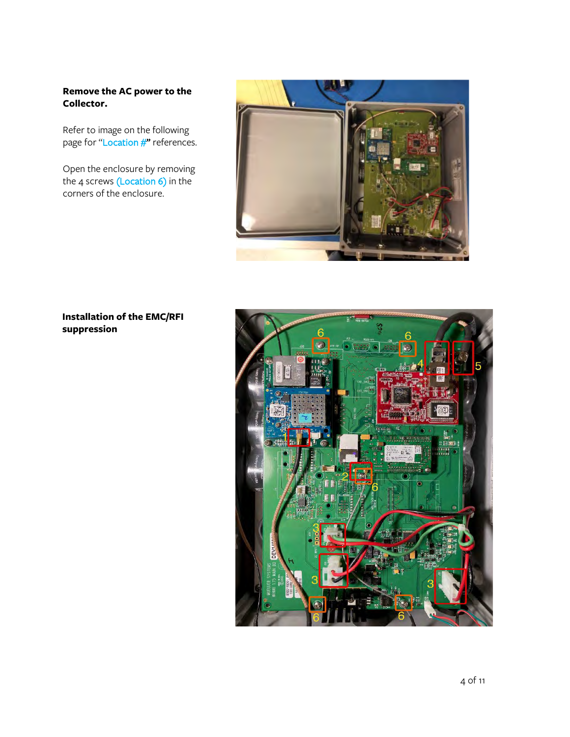#### **Remove the AC power to the Collector.**

Refer to image on the following page for "Location #" references.

Open the enclosure by removing the 4 screws (Location 6) in the corners of the enclosure.



#### **Installation of the EMC/RFI suppression**

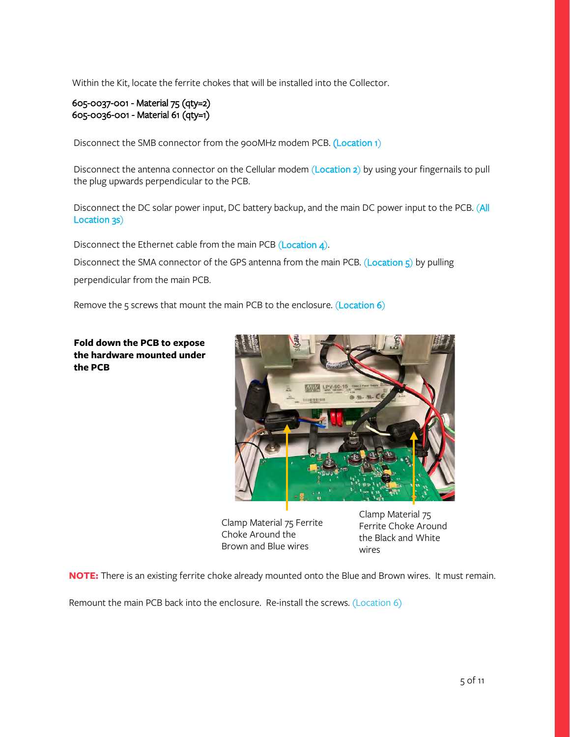Within the Kit, locate the ferrite chokes that will be installed into the Collector.

#### 605-0037-001 - Material 75 (qty=2) 605-0036-001 - Material 61 (qty=1)

Disconnect the SMB connector from the 900MHz modem PCB. (Location 1)

Disconnect the antenna connector on the Cellular modem (Location 2) by using your fingernails to pull the plug upwards perpendicular to the PCB.

Disconnect the DC solar power input, DC battery backup, and the main DC power input to the PCB. (All Location 3s)

Disconnect the Ethernet cable from the main PCB (Location 4).

Disconnect the SMA connector of the GPS antenna from the main PCB. (Location 5) by pulling

perpendicular from the main PCB.

Remove the 5 screws that mount the main PCB to the enclosure. (Location 6)

**Fold down the PCB to expose the hardware mounted under the PCB** 



Clamp Material 75 Ferrite Choke Around the Brown and Blue wires

Clamp Material 75 Ferrite Choke Around the Black and White wires

**NOTE:** There is an existing ferrite choke already mounted onto the Blue and Brown wires. It must remain.

Remount the main PCB back into the enclosure. Re-install the screws. (Location 6)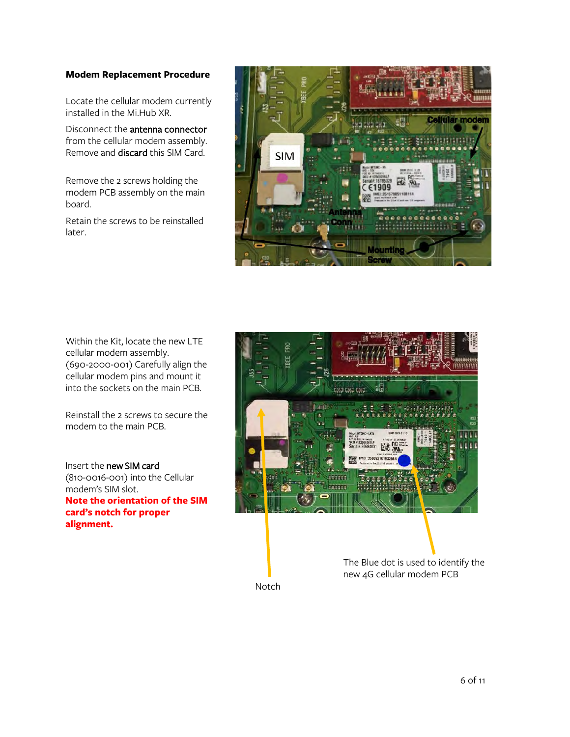#### **Modem Replacement Procedure**

Locate the cellular modem currently installed in the Mi.Hub XR.

Disconnect the antenna connector from the cellular modem assembly. Remove and discard this SIM Card.

Remove the 2 screws holding the modem PCB assembly on the main board.

Retain the screws to be reinstalled later.



Within the Kit, locate the new LTE cellular modem assembly. (690-2000-001) Carefully align the cellular modem pins and mount it into the sockets on the main PCB.

Reinstall the 2 screws to secure the modem to the main PCB.

Insert the new SIM card (810-0016-001) into the Cellular modem's SIM slot. **Note the orientation of the SIM card's notch for proper alignment.** 



Notch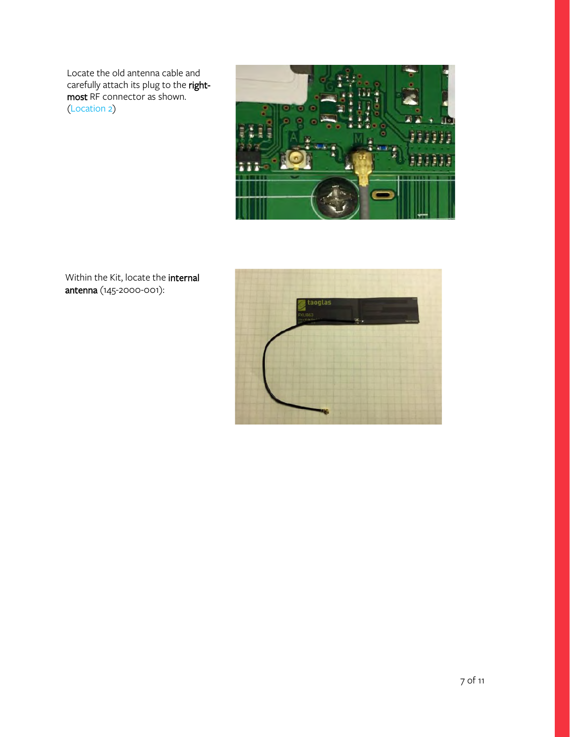Locate the old antenna cable and carefully attach its plug to the rightmost RF connector as shown. (Location 2)





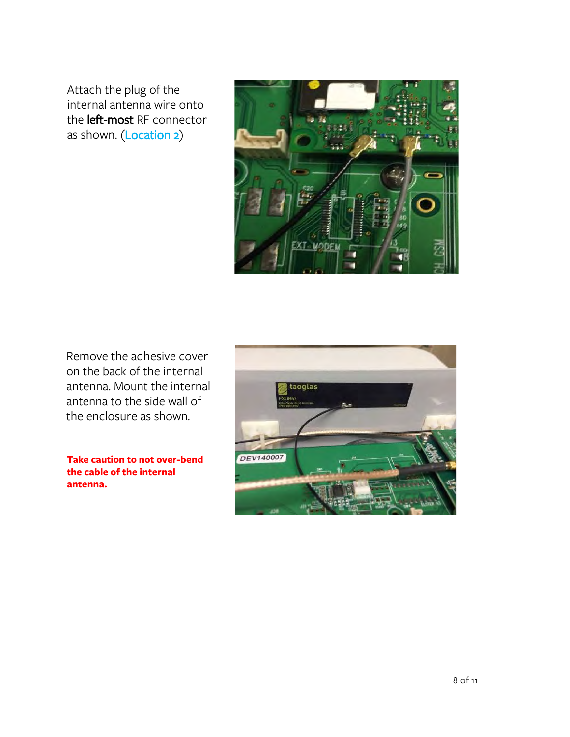Attach the plug of the internal antenna wire onto the left-most RF connector as shown. (Location 2)



Remove the adhesive cover on the back of the internal antenna. Mount the internal antenna to the side wall of the enclosure as shown.

**Take caution to not over-bend the cable of the internal antenna.**

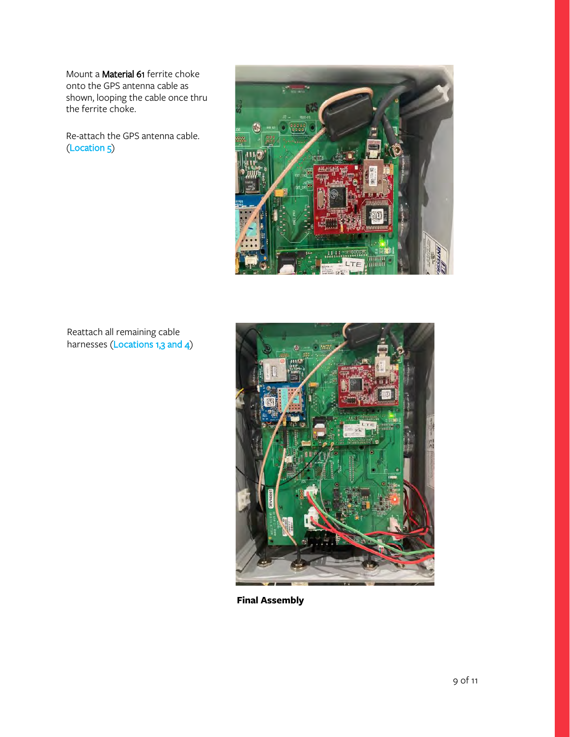Mount a Material 61 ferrite choke onto the GPS antenna cable as shown, looping the cable once thru the ferrite choke.

Re-attach the GPS antenna cable. (Location 5)



Reattach all remaining cable harnesses (Locations 1,3 and 4)



**Final Assembly**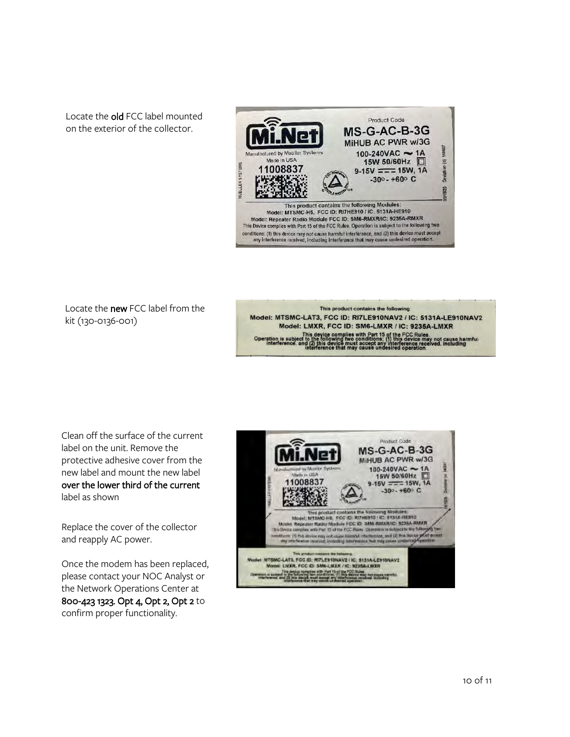Locate the old FCC label mounted on the exterior of the collector.



Locate the new FCC label from the kit (130-0136-001)

#### This product contains the following Model: MTSMC-LAT3, FCC ID: RI7LE910NAV2 / IC: 5131A-LE910NAV2 Model: LMXR, FCC ID: SM6-LMXR / IC: 9235A-LMXR This device complies with Part 15 of the FCC Rules.<br>This device complies with Part 15 of the FCC Rules.<br>This device complies with Part 15 of the FCC Rules.<br>interference, and (2) this device must accept any interference rec

Clean off the surface of the current label on the unit. Remove the protective adhesive cover from the new label and mount the new label over the lower third of the current label as shown

Replace the cover of the collector and reapply AC power.

Once the modem has been replaced, please contact your NOC Analyst or the Network Operations Center at 800-423 1323. Opt 4, Opt 2, Opt 2 to confirm proper functionality.